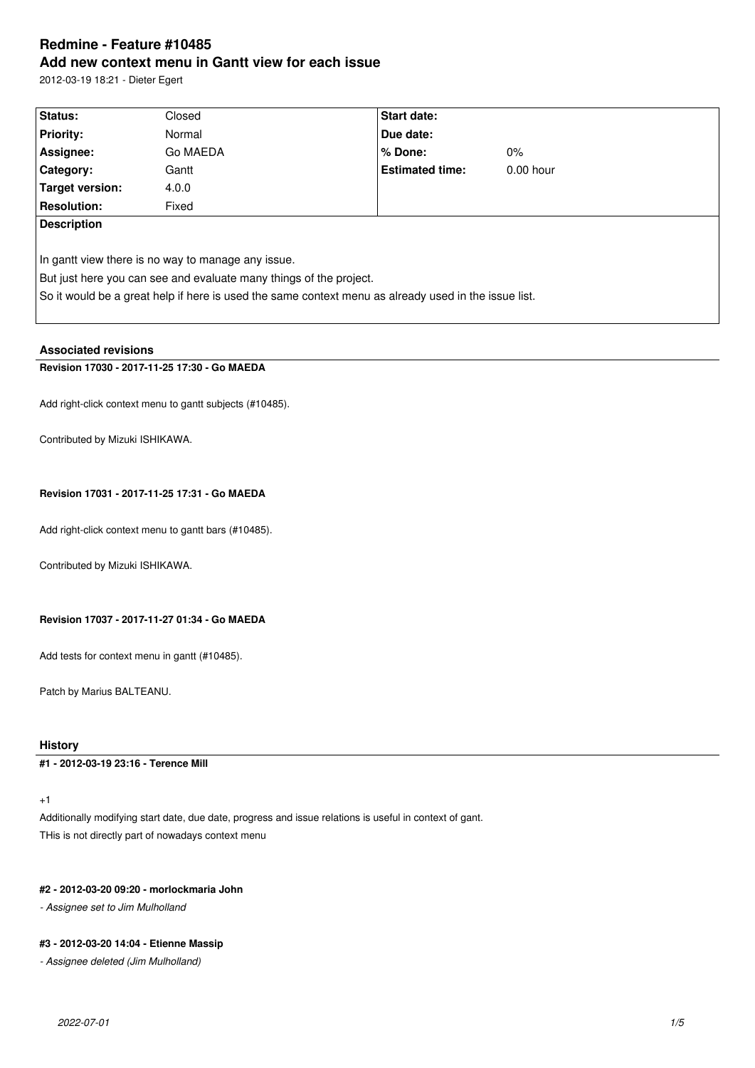# **Redmine - Feature #10485 Add new context menu in Gantt view for each issue**

2012-03-19 18:21 - Dieter Egert

| Status:                                                                                              | Closed   | <b>Start date:</b>     |             |  |  |
|------------------------------------------------------------------------------------------------------|----------|------------------------|-------------|--|--|
| <b>Priority:</b>                                                                                     | Normal   | Due date:              |             |  |  |
| Assignee:                                                                                            | Go MAEDA | $%$ Done:              | $0\%$       |  |  |
| Category:                                                                                            | Gantt    | <b>Estimated time:</b> | $0.00$ hour |  |  |
| Target version:                                                                                      | 4.0.0    |                        |             |  |  |
| <b>Resolution:</b>                                                                                   | Fixed    |                        |             |  |  |
| <b>Description</b>                                                                                   |          |                        |             |  |  |
|                                                                                                      |          |                        |             |  |  |
| In gantt view there is no way to manage any issue.                                                   |          |                        |             |  |  |
| But just here you can see and evaluate many things of the project.                                   |          |                        |             |  |  |
| So it would be a great help if here is used the same context menu as already used in the issue list. |          |                        |             |  |  |
|                                                                                                      |          |                        |             |  |  |

### **Associated revisions**

### **Revision 17030 - 2017-11-25 17:30 - Go MAEDA**

Add right-click context menu to gantt subjects (#10485).

Contributed by Mizuki ISHIKAWA.

### **Revision 17031 - 2017-11-25 17:31 - Go MAEDA**

Add right-click context menu to gantt bars (#10485).

Contributed by Mizuki ISHIKAWA.

### **Revision 17037 - 2017-11-27 01:34 - Go MAEDA**

Add tests for context menu in gantt (#10485).

Patch by Marius BALTEANU.

### **History**

**#1 - 2012-03-19 23:16 - Terence Mill**

+1

Additionally modifying start date, due date, progress and issue relations is useful in context of gant. THis is not directly part of nowadays context menu

### **#2 - 2012-03-20 09:20 - morlockmaria John**

*- Assignee set to Jim Mulholland*

#### **#3 - 2012-03-20 14:04 - Etienne Massip**

*- Assignee deleted (Jim Mulholland)*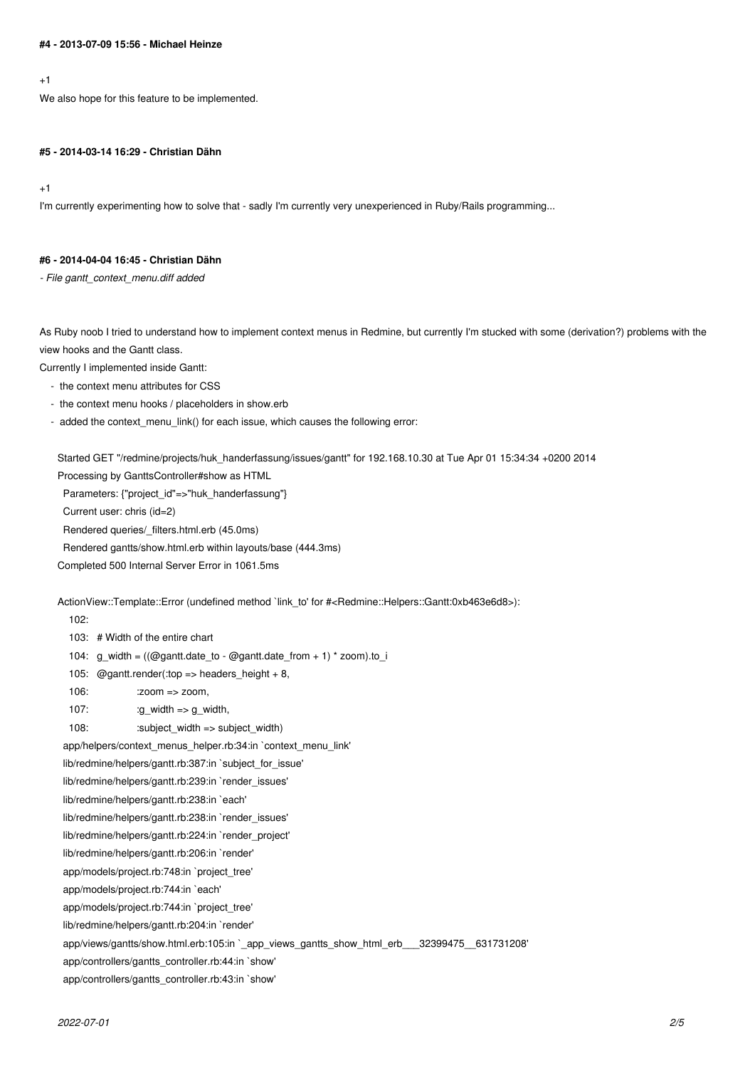#### **#4 - 2013-07-09 15:56 - Michael Heinze**

#### $+1$

We also hope for this feature to be implemented.

#### **#5 - 2014-03-14 16:29 - Christian Dähn**

+1

I'm currently experimenting how to solve that - sadly I'm currently very unexperienced in Ruby/Rails programming...

### **#6 - 2014-04-04 16:45 - Christian Dähn**

*- File gantt\_context\_menu.diff added*

As Ruby noob I tried to understand how to implement context menus in Redmine, but currently I'm stucked with some (derivation?) problems with the view hooks and the Gantt class.

Currently I implemented inside Gantt:

- the context menu attributes for CSS
- the context menu hooks / placeholders in show.erb
- added the context\_menu\_link() for each issue, which causes the following error:

Started GET "/redmine/projects/huk\_handerfassung/issues/gantt" for 192.168.10.30 at Tue Apr 01 15:34:34 +0200 2014 Processing by GanttsController#show as HTML

Parameters: {"project\_id"=>"huk\_handerfassung"}

Current user: chris (id=2)

Rendered queries/\_filters.html.erb (45.0ms)

Rendered gantts/show.html.erb within layouts/base (444.3ms)

Completed 500 Internal Server Error in 1061.5ms

ActionView::Template::Error (undefined method `link\_to' for #<Redmine::Helpers::Gantt:0xb463e6d8>):

102:

103: # Width of the entire chart

104: g\_width =  $((\text{Quant}.data to - \text{Quant}.data to - \text{quant}.data to - \text{ from } + 1)$  \* zoom).to i

105: @gantt.render(:top => headers\_height + 8,

- $106:$   $:zoom \Rightarrow zoom$ .
- 107:  $:g\_width \Rightarrow g\_width,$

108: :subject\_width => subject\_width)

app/helpers/context\_menus\_helper.rb:34:in `context\_menu\_link'

lib/redmine/helpers/gantt.rb:387:in `subject\_for\_issue'

lib/redmine/helpers/gantt.rb:239:in `render\_issues'

lib/redmine/helpers/gantt.rb:238:in `each'

lib/redmine/helpers/gantt.rb:238:in `render\_issues'

lib/redmine/helpers/gantt.rb:224:in `render\_project'

lib/redmine/helpers/gantt.rb:206:in `render'

app/models/project.rb:748:in `project\_tree'

app/models/project.rb:744:in `each'

app/models/project.rb:744:in `project\_tree'

lib/redmine/helpers/gantt.rb:204:in `render'

app/views/gantts/show.html.erb:105:in `\_app\_views\_gantts\_show\_html\_erb\_\_\_32399475\_\_631731208'

app/controllers/gantts\_controller.rb:44:in `show'

app/controllers/gantts\_controller.rb:43:in `show'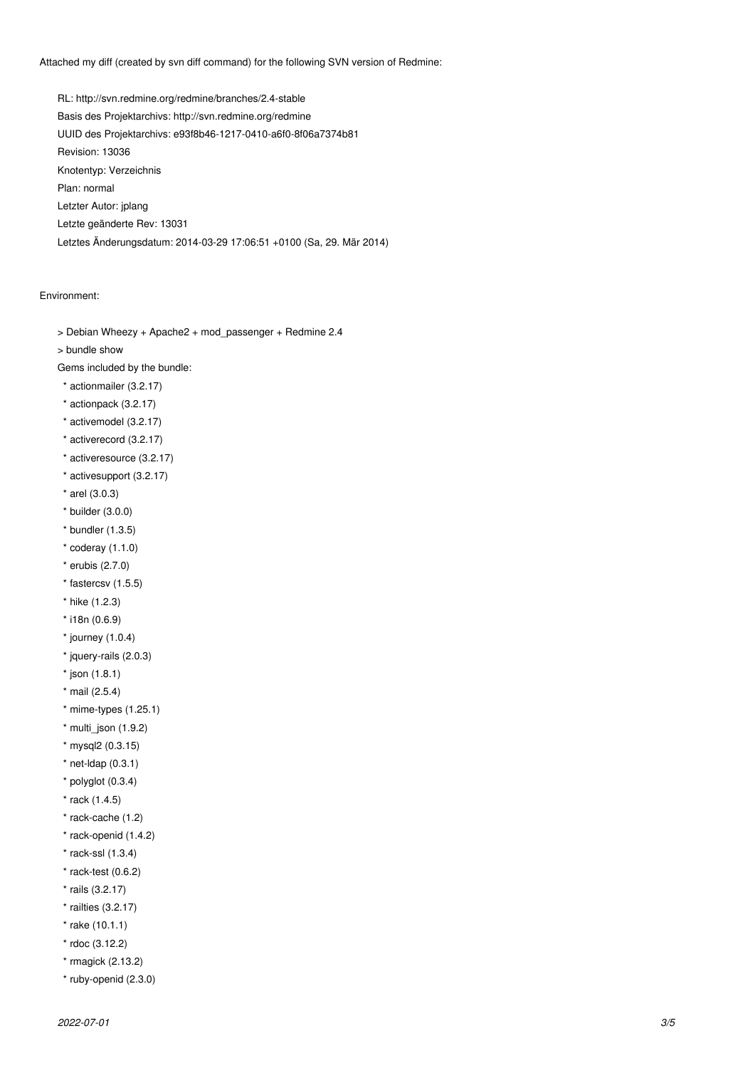Attached my diff (created by svn diff command) for the following SVN version of Redmine:

RL: http://svn.redmine.org/redmine/branches/2.4-stable Basis des Projektarchivs: http://svn.redmine.org/redmine UUID des Projektarchivs: e93f8b46-1217-0410-a6f0-8f06a7374b81 Revision: 13036 Knotentyp: Verzeichnis Plan: normal Letzter Autor: jplang Letzte geänderte Rev: 13031 Letztes Änderungsdatum: 2014-03-29 17:06:51 +0100 (Sa, 29. Mär 2014)

#### Environment:

- > Debian Wheezy + Apache2 + mod\_passenger + Redmine 2.4
- > bundle show

Gems included by the bundle:

- \* actionmailer (3.2.17)
- \* actionpack (3.2.17)
- \* activemodel (3.2.17)
- \* activerecord (3.2.17)
- \* activeresource (3.2.17)
- \* activesupport (3.2.17)
- \* arel (3.0.3)
- \* builder (3.0.0)
- \* bundler (1.3.5)
- $*$  coderay  $(1.1.0)$
- \* erubis (2.7.0)
- \* fastercsv (1.5.5)
- \* hike (1.2.3)
- \* i18n (0.6.9)
- $*$  journey  $(1.0.4)$
- \* jquery-rails (2.0.3)
- $*$  json  $(1.8.1)$
- \* mail (2.5.4)
- \* mime-types (1.25.1)
- \* multi\_json (1.9.2)
- \* mysql2 (0.3.15)
- \* net-ldap (0.3.1)
- \* polyglot (0.3.4)
- \* rack (1.4.5)
- \* rack-cache (1.2)
- \* rack-openid (1.4.2)
- \* rack-ssl (1.3.4)
- $*$  rack-test  $(0.6.2)$
- \* rails (3.2.17)
- \* railties (3.2.17)
- \* rake (10.1.1)
- \* rdoc (3.12.2)
- \* rmagick (2.13.2)
- \* ruby-openid (2.3.0)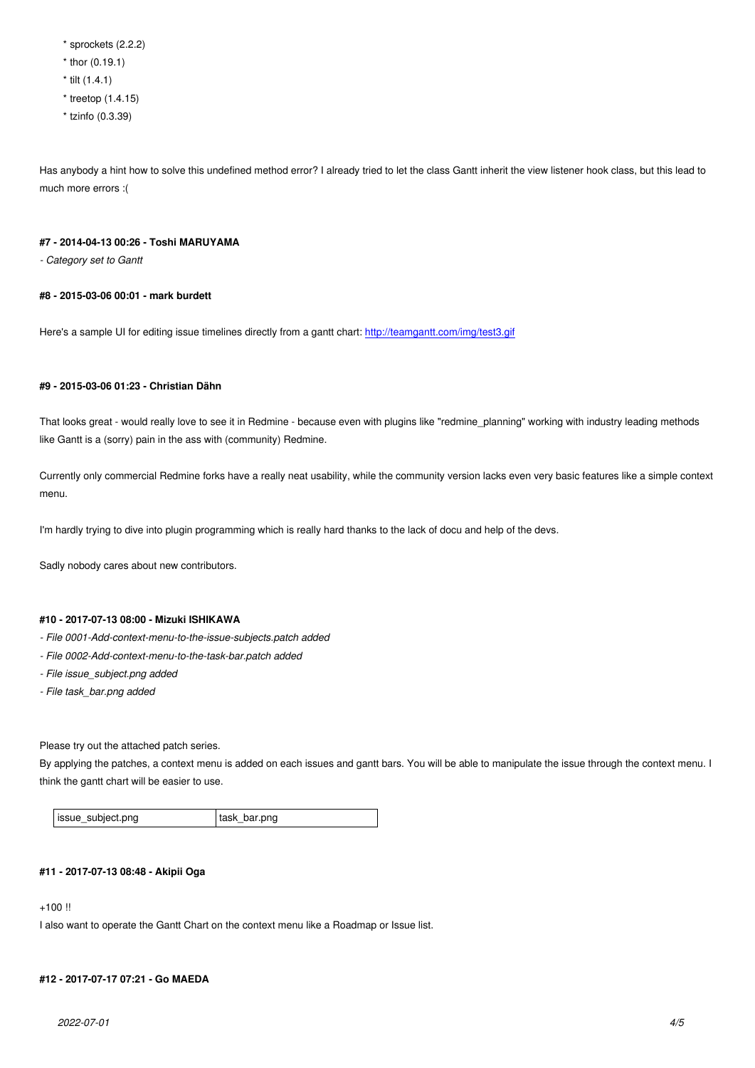$\frac{1}{2}$  thor  $\frac{1}{2}$ . 19.1) \* tilt (1.4.1) \* treetop (1.4.15) \* tzinfo (0.3.39)

Has anybody a hint how to solve this undefined method error? I already tried to let the class Gantt inherit the view listener hook class, but this lead to much more errors :(

#### **#7 - 2014-04-13 00:26 - Toshi MARUYAMA**

*- Category set to Gantt*

#### **#8 - 2015-03-06 00:01 - mark burdett**

Here's a sample UI for editing issue timelines directly from a gantt chart: http://teamgantt.com/img/test3.gif

### **#9 - 2015-03-06 01:23 - Christian Dähn**

That looks great - would really love to see it in Redmine - because even with plugins like "redmine\_planning" working with industry leading methods like Gantt is a (sorry) pain in the ass with (community) Redmine.

Currently only commercial Redmine forks have a really neat usability, while the community version lacks even very basic features like a simple context menu.

I'm hardly trying to dive into plugin programming which is really hard thanks to the lack of docu and help of the devs.

Sadly nobody cares about new contributors.

#### **#10 - 2017-07-13 08:00 - Mizuki ISHIKAWA**

- *File 0001-Add-context-menu-to-the-issue-subjects.patch added*
- *File 0002-Add-context-menu-to-the-task-bar.patch added*
- *File issue\_subject.png added*
- *File task\_bar.png added*

Please try out the attached patch series.

By applying the patches, a context menu is added on each issues and gantt bars. You will be able to manipulate the issue through the context menu. I think the gantt chart will be easier to use.

issue\_subject.png task\_bar.png

#### **#11 - 2017-07-13 08:48 - Akipii Oga**

+100 !!

I also want to operate the Gantt Chart on the context menu like a Roadmap or Issue list.

#### **#12 - 2017-07-17 07:21 - Go MAEDA**